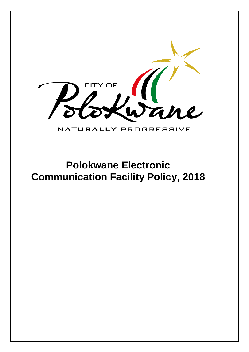

## NATURALLY PROGRESSIVE

## **Polokwane Electronic Communication Facility Policy, 2018**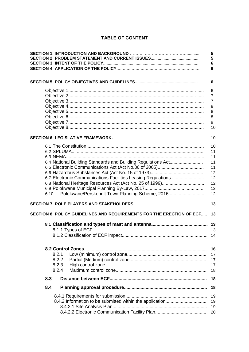## **TABLE OF CONTENT**

|                                                                       | 5<br>5<br>6    |
|-----------------------------------------------------------------------|----------------|
|                                                                       | 6              |
|                                                                       | 6              |
|                                                                       | 6              |
|                                                                       | $\overline{7}$ |
|                                                                       | $\overline{7}$ |
|                                                                       | 8              |
|                                                                       | 8              |
|                                                                       | 8              |
|                                                                       | 9              |
|                                                                       | 10             |
|                                                                       | 10             |
|                                                                       | 10             |
|                                                                       | 11             |
|                                                                       | 11             |
| 6.4 National Building Standards and Building Regulations Act          | 11             |
|                                                                       | 11             |
|                                                                       | 12             |
| 6.7 Electronic Communications Facilities Leasing Regulations          | 12             |
|                                                                       | 12             |
|                                                                       | 12             |
| Polokwane/Perskebult Town Planning Scheme, 2016<br>6.10               | 12             |
|                                                                       | 13             |
| SECTION 8: POLICY GUIDELINES AND REQUIREMENTS FOR THE ERECTION OF ECF | 13             |
|                                                                       |                |
|                                                                       |                |
|                                                                       |                |
|                                                                       | 16             |
| 8.2.1                                                                 | 17             |
| 8.2.2                                                                 | 17             |
| 8.2.3                                                                 | 17             |
| 8.2.4                                                                 | 18             |
| 8.3                                                                   | 18             |
| 8.4                                                                   | 18             |
|                                                                       | 19             |
|                                                                       | 19             |
|                                                                       | 19             |
|                                                                       | 20             |